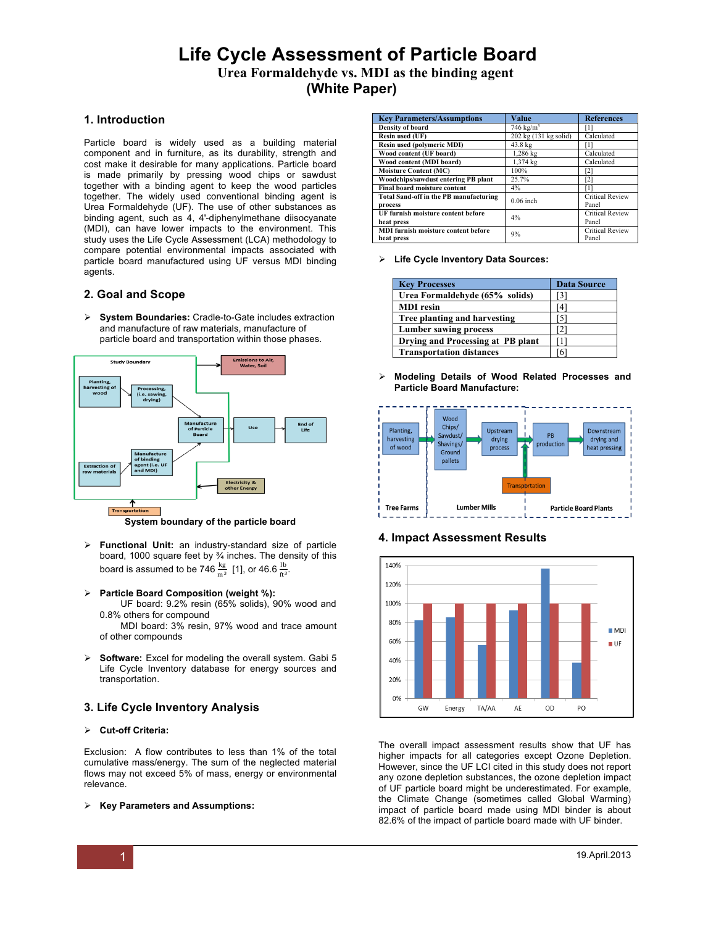## **Life Cycle Assessment of Particle Board Urea Formaldehyde vs. MDI as the binding agent (White Paper)**

## **1. Introduction**

Particle board is widely used as a building material component and in furniture, as its durability, strength and cost make it desirable for many applications. Particle board is made primarily by pressing wood chips or sawdust together with a binding agent to keep the wood particles together. The widely used conventional binding agent is Urea Formaldehyde (UF). The use of other substances as binding agent, such as 4, 4'-diphenylmethane diisocyanate (MDI), can have lower impacts to the environment. This study uses the Life Cycle Assessment (LCA) methodology to compare potential environmental impacts associated with particle board manufactured using UF versus MDI binding agents.

### **2. Goal and Scope**

! **System Boundaries:** Cradle-to-Gate includes extraction and manufacture of raw materials, manufacture of particle board and transportation within those phases.



**System boundary of the particle board**

- ! **Functional Unit:** an industry-standard size of particle board, 1000 square feet by  $\frac{3}{4}$  inches. The density of this board is assumed to be 746  $\frac{\text{kg}}{\text{m}^3}$  [1], or 46.6  $\frac{\text{lb}}{\text{ft}^3}$ .
- ! **Particle Board Composition (weight %):** 
	- UF board: 9.2% resin (65% solids), 90% wood and 0.8% others for compound

 MDI board: 3% resin, 97% wood and trace amount of other compounds

! **Software:** Excel for modeling the overall system. Gabi 5 Life Cycle Inventory database for energy sources and transportation.

## **3. Life Cycle Inventory Analysis**

#### ! **Cut-off Criteria:**

Exclusion: A flow contributes to less than 1% of the total cumulative mass/energy. The sum of the neglected material flows may not exceed 5% of mass, energy or environmental relevance.

#### ! **Key Parameters and Assumptions:**

| <b>Key Parameters/Assumptions</b>             | Value                 | <b>References</b>      |
|-----------------------------------------------|-----------------------|------------------------|
| <b>Density of board</b>                       | 746 $kg/m3$           |                        |
| Resin used (UF)                               | 202 kg (131 kg solid) | Calculated             |
| <b>Resin used (polymeric MDI)</b>             | 43.8 kg               |                        |
| Wood content (UF board)                       | 1,286 kg              | Calculated             |
| Wood content (MDI board)                      | 1,374 kg              | Calculated             |
| <b>Moisture Content (MC)</b>                  | 100%                  | [2]                    |
| Woodchips/sawdust entering PB plant           | 25.7%                 | Γ2                     |
| <b>Final board moisture content</b>           | $4\%$                 |                        |
| <b>Total Sand-off in the PB manufacturing</b> | $0.06$ inch           | <b>Critical Review</b> |
| process                                       |                       | Panel                  |
| UF furnish moisture content before            | 4%                    | <b>Critical Review</b> |
| heat press                                    |                       | Panel                  |
| <b>MDI</b> furnish moisture content before    | 9%                    | <b>Critical Review</b> |
| heat press                                    |                       | Panel                  |

! **Life Cycle Inventory Data Sources:** 

| <b>Key Processes</b>              | <b>Data Source</b> |
|-----------------------------------|--------------------|
| Urea Formaldehyde (65% solids)    | [3]                |
| <b>MDI</b> resin                  | Ι4                 |
| Tree planting and harvesting      | 15                 |
| <b>Lumber sawing process</b>      |                    |
| Drying and Processing at PB plant |                    |
| <b>Transportation distances</b>   | 6                  |

! **Modeling Details of Wood Related Processes and Particle Board Manufacture:** 



## **4. Impact Assessment Results**



The overall impact assessment results show that UF has higher impacts for all categories except Ozone Depletion. However, since the UF LCI cited in this study does not report any ozone depletion substances, the ozone depletion impact of UF particle board might be underestimated. For example, the Climate Change (sometimes called Global Warming) impact of particle board made using MDI binder is about 82.6% of the impact of particle board made with UF binder.